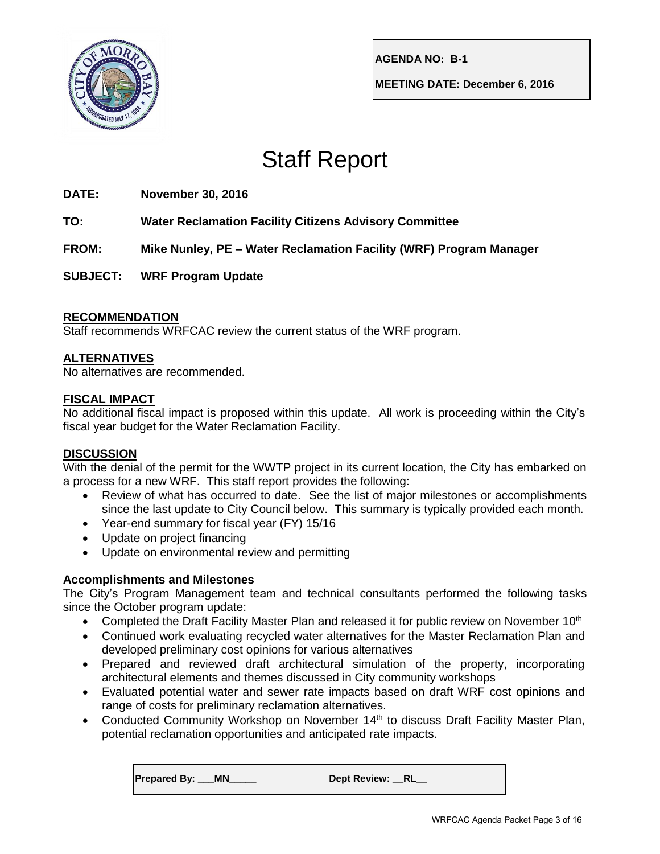

**AGENDA NO: B-1**

**MEETING DATE: December 6, 2016**

# Staff Report

## **DATE: November 30, 2016**

**TO: Water Reclamation Facility Citizens Advisory Committee**

**FROM: Mike Nunley, PE – Water Reclamation Facility (WRF) Program Manager**

**SUBJECT: WRF Program Update**

## **RECOMMENDATION**

Staff recommends WRFCAC review the current status of the WRF program.

## **ALTERNATIVES**

No alternatives are recommended.

### **FISCAL IMPACT**

No additional fiscal impact is proposed within this update. All work is proceeding within the City's fiscal year budget for the Water Reclamation Facility.

### **DISCUSSION**

With the denial of the permit for the WWTP project in its current location, the City has embarked on a process for a new WRF. This staff report provides the following:

- Review of what has occurred to date. See the list of major milestones or accomplishments since the last update to City Council below. This summary is typically provided each month.
- Year-end summary for fiscal year (FY) 15/16
- Update on project financing
- Update on environmental review and permitting

### **Accomplishments and Milestones**

The City's Program Management team and technical consultants performed the following tasks since the October program update:

- Completed the Draft Facility Master Plan and released it for public review on November 10<sup>th</sup>
- Continued work evaluating recycled water alternatives for the Master Reclamation Plan and developed preliminary cost opinions for various alternatives
- Prepared and reviewed draft architectural simulation of the property, incorporating architectural elements and themes discussed in City community workshops
- Evaluated potential water and sewer rate impacts based on draft WRF cost opinions and range of costs for preliminary reclamation alternatives.
- Conducted Community Workshop on November 14<sup>th</sup> to discuss Draft Facility Master Plan, potential reclamation opportunities and anticipated rate impacts.

Prepared By: \_\_\_MN\_\_\_\_\_\_\_ Dept Review: \_\_RL\_\_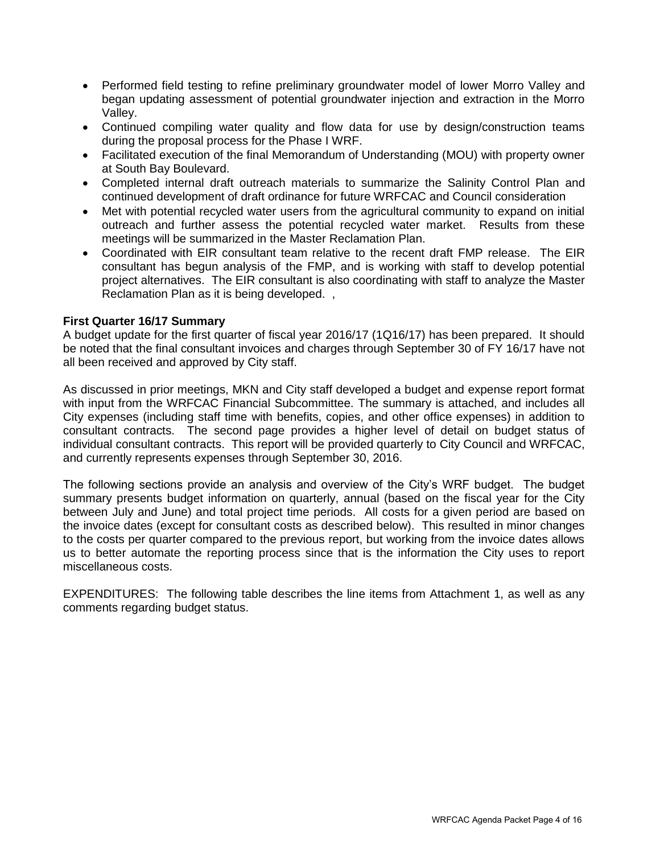- Performed field testing to refine preliminary groundwater model of lower Morro Valley and began updating assessment of potential groundwater injection and extraction in the Morro Valley.
- Continued compiling water quality and flow data for use by design/construction teams during the proposal process for the Phase I WRF.
- Facilitated execution of the final Memorandum of Understanding (MOU) with property owner at South Bay Boulevard.
- Completed internal draft outreach materials to summarize the Salinity Control Plan and continued development of draft ordinance for future WRFCAC and Council consideration
- Met with potential recycled water users from the agricultural community to expand on initial outreach and further assess the potential recycled water market. Results from these meetings will be summarized in the Master Reclamation Plan.
- Coordinated with EIR consultant team relative to the recent draft FMP release. The EIR consultant has begun analysis of the FMP, and is working with staff to develop potential project alternatives. The EIR consultant is also coordinating with staff to analyze the Master Reclamation Plan as it is being developed. ,

#### **First Quarter 16/17 Summary**

A budget update for the first quarter of fiscal year 2016/17 (1Q16/17) has been prepared. It should be noted that the final consultant invoices and charges through September 30 of FY 16/17 have not all been received and approved by City staff.

As discussed in prior meetings, MKN and City staff developed a budget and expense report format with input from the WRFCAC Financial Subcommittee. The summary is attached, and includes all City expenses (including staff time with benefits, copies, and other office expenses) in addition to consultant contracts. The second page provides a higher level of detail on budget status of individual consultant contracts. This report will be provided quarterly to City Council and WRFCAC, and currently represents expenses through September 30, 2016.

The following sections provide an analysis and overview of the City's WRF budget. The budget summary presents budget information on quarterly, annual (based on the fiscal year for the City between July and June) and total project time periods. All costs for a given period are based on the invoice dates (except for consultant costs as described below). This resulted in minor changes to the costs per quarter compared to the previous report, but working from the invoice dates allows us to better automate the reporting process since that is the information the City uses to report miscellaneous costs.

EXPENDITURES: The following table describes the line items from Attachment 1, as well as any comments regarding budget status.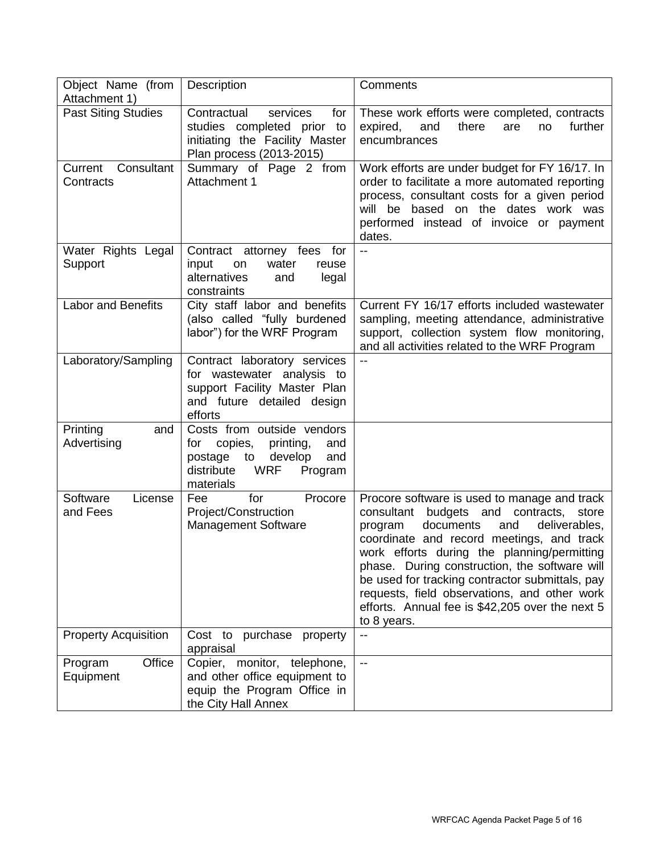| Object Name (from<br>Attachment 1) | Description                                                                                                                                                        | Comments                                                                                                                                                                                                                                                                                                                                                                                                                                                           |
|------------------------------------|--------------------------------------------------------------------------------------------------------------------------------------------------------------------|--------------------------------------------------------------------------------------------------------------------------------------------------------------------------------------------------------------------------------------------------------------------------------------------------------------------------------------------------------------------------------------------------------------------------------------------------------------------|
| <b>Past Siting Studies</b>         | Contractual<br>services<br>for<br>studies completed prior<br>to<br>initiating the Facility Master<br>Plan process (2013-2015)                                      | These work efforts were completed, contracts<br>expired,<br>and<br>there<br>further<br>are<br>no<br>encumbrances                                                                                                                                                                                                                                                                                                                                                   |
| Consultant<br>Current<br>Contracts | Summary of Page 2 from<br>Attachment 1                                                                                                                             | Work efforts are under budget for FY 16/17. In<br>order to facilitate a more automated reporting<br>process, consultant costs for a given period<br>will be based on the dates work was<br>performed instead of invoice or payment<br>dates.                                                                                                                                                                                                                       |
| Water Rights Legal<br>Support      | Contract attorney fees for<br>input<br>water<br>on<br>reuse<br>alternatives<br>legal<br>and<br>constraints                                                         | $-$                                                                                                                                                                                                                                                                                                                                                                                                                                                                |
| <b>Labor and Benefits</b>          | City staff labor and benefits<br>(also called "fully burdened<br>labor") for the WRF Program                                                                       | Current FY 16/17 efforts included wastewater<br>sampling, meeting attendance, administrative<br>support, collection system flow monitoring,<br>and all activities related to the WRF Program                                                                                                                                                                                                                                                                       |
| Laboratory/Sampling                | Contract laboratory services<br>for wastewater analysis to<br>support Facility Master Plan<br>and future detailed design<br>efforts                                |                                                                                                                                                                                                                                                                                                                                                                                                                                                                    |
| Printing<br>and<br>Advertising     | Costs from outside vendors<br>copies,<br>printing,<br>for<br>and<br>postage<br>$\mathsf{to}$<br>develop<br>and<br>distribute<br><b>WRF</b><br>Program<br>materials |                                                                                                                                                                                                                                                                                                                                                                                                                                                                    |
| Software<br>License<br>and Fees    | for<br>Procore<br>Fee<br>Project/Construction<br><b>Management Software</b>                                                                                        | Procore software is used to manage and track<br>consultant<br>budgets and<br>contracts,<br>store<br>documents<br>and<br>deliverables,<br>program<br>coordinate and record meetings, and track<br>work efforts during the planning/permitting<br>phase. During construction, the software will<br>be used for tracking contractor submittals, pay<br>requests, field observations, and other work<br>efforts. Annual fee is \$42,205 over the next 5<br>to 8 years. |
| <b>Property Acquisition</b>        | Cost to purchase property<br>appraisal                                                                                                                             | $-$                                                                                                                                                                                                                                                                                                                                                                                                                                                                |
| Office<br>Program<br>Equipment     | Copier, monitor, telephone,<br>and other office equipment to<br>equip the Program Office in<br>the City Hall Annex                                                 | --                                                                                                                                                                                                                                                                                                                                                                                                                                                                 |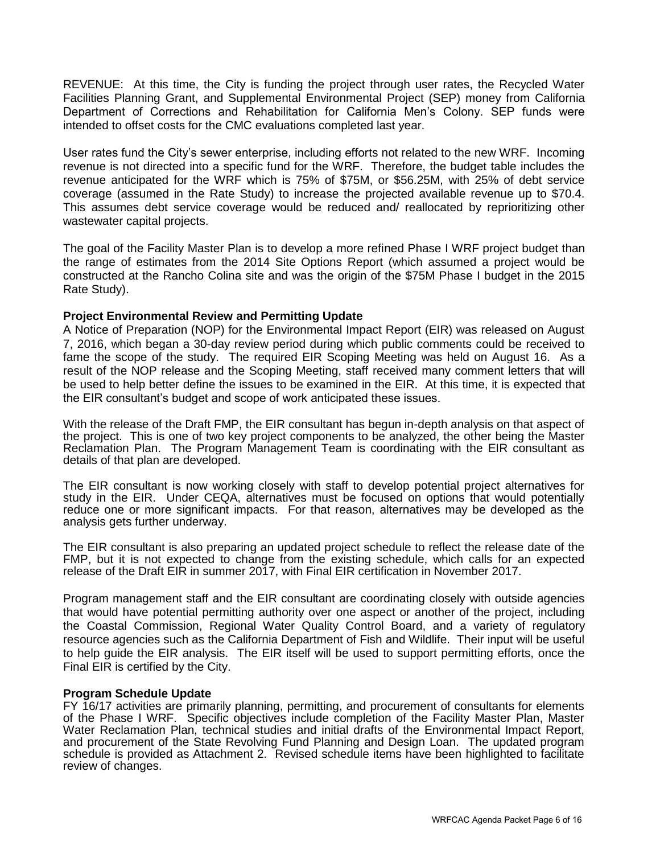REVENUE: At this time, the City is funding the project through user rates, the Recycled Water Facilities Planning Grant, and Supplemental Environmental Project (SEP) money from California Department of Corrections and Rehabilitation for California Men's Colony. SEP funds were intended to offset costs for the CMC evaluations completed last year.

User rates fund the City's sewer enterprise, including efforts not related to the new WRF. Incoming revenue is not directed into a specific fund for the WRF. Therefore, the budget table includes the revenue anticipated for the WRF which is 75% of \$75M, or \$56.25M, with 25% of debt service coverage (assumed in the Rate Study) to increase the projected available revenue up to \$70.4. This assumes debt service coverage would be reduced and/ reallocated by reprioritizing other wastewater capital projects.

The goal of the Facility Master Plan is to develop a more refined Phase I WRF project budget than the range of estimates from the 2014 Site Options Report (which assumed a project would be constructed at the Rancho Colina site and was the origin of the \$75M Phase I budget in the 2015 Rate Study).

#### **Project Environmental Review and Permitting Update**

A Notice of Preparation (NOP) for the Environmental Impact Report (EIR) was released on August 7, 2016, which began a 30-day review period during which public comments could be received to fame the scope of the study. The required EIR Scoping Meeting was held on August 16. As a result of the NOP release and the Scoping Meeting, staff received many comment letters that will be used to help better define the issues to be examined in the EIR. At this time, it is expected that the EIR consultant's budget and scope of work anticipated these issues.

With the release of the Draft FMP, the EIR consultant has begun in-depth analysis on that aspect of the project. This is one of two key project components to be analyzed, the other being the Master Reclamation Plan. The Program Management Team is coordinating with the EIR consultant as details of that plan are developed.

The EIR consultant is now working closely with staff to develop potential project alternatives for study in the EIR. Under CEQA, alternatives must be focused on options that would potentially reduce one or more significant impacts. For that reason, alternatives may be developed as the analysis gets further underway.

The EIR consultant is also preparing an updated project schedule to reflect the release date of the FMP, but it is not expected to change from the existing schedule, which calls for an expected release of the Draft EIR in summer 2017, with Final EIR certification in November 2017.

Program management staff and the EIR consultant are coordinating closely with outside agencies that would have potential permitting authority over one aspect or another of the project, including the Coastal Commission, Regional Water Quality Control Board, and a variety of regulatory resource agencies such as the California Department of Fish and Wildlife. Their input will be useful to help guide the EIR analysis. The EIR itself will be used to support permitting efforts, once the Final EIR is certified by the City.

#### **Program Schedule Update**

FY 16/17 activities are primarily planning, permitting, and procurement of consultants for elements of the Phase I WRF. Specific objectives include completion of the Facility Master Plan, Master Water Reclamation Plan, technical studies and initial drafts of the Environmental Impact Report, and procurement of the State Revolving Fund Planning and Design Loan. The updated program schedule is provided as Attachment 2. Revised schedule items have been highlighted to facilitate review of changes.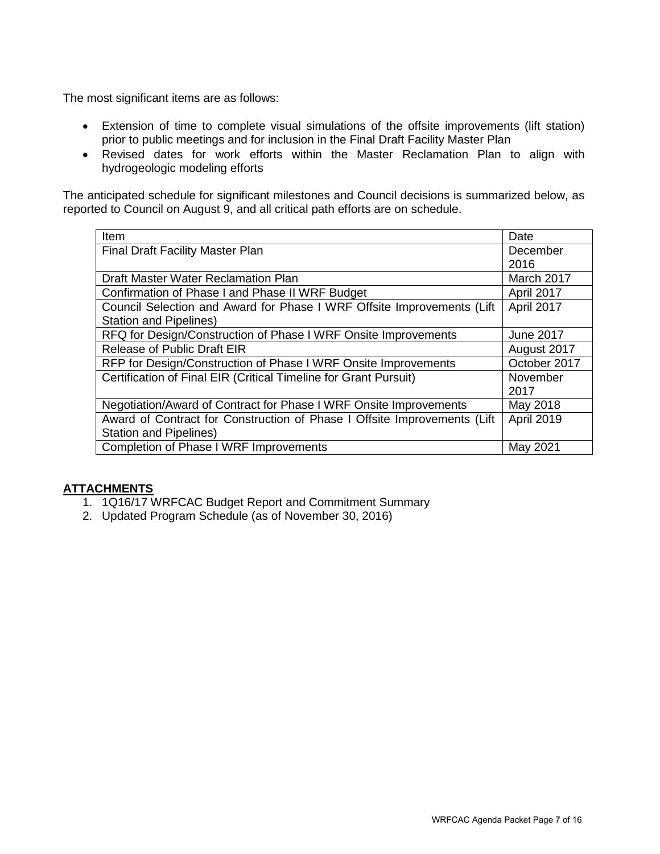The most significant items are as follows:

- Extension of time to complete visual simulations of the offsite improvements (lift station) prior to public meetings and for inclusion in the Final Draft Facility Master Plan
- Revised dates for work efforts within the Master Reclamation Plan to align with hydrogeologic modeling efforts

The anticipated schedule for significant milestones and Council decisions is summarized below, as reported to Council on August 9, and all critical path efforts are on schedule.

| Item                                                                     | Date             |
|--------------------------------------------------------------------------|------------------|
| <b>Final Draft Facility Master Plan</b>                                  | December         |
|                                                                          | 2016             |
| Draft Master Water Reclamation Plan                                      | March 2017       |
| Confirmation of Phase I and Phase II WRF Budget                          | April 2017       |
| Council Selection and Award for Phase I WRF Offsite Improvements (Lift   | April 2017       |
| <b>Station and Pipelines)</b>                                            |                  |
| RFQ for Design/Construction of Phase I WRF Onsite Improvements           | <b>June 2017</b> |
| <b>Release of Public Draft EIR</b>                                       | August 2017      |
| RFP for Design/Construction of Phase I WRF Onsite Improvements           | October 2017     |
| Certification of Final EIR (Critical Timeline for Grant Pursuit)         | November         |
|                                                                          | 2017             |
| Negotiation/Award of Contract for Phase I WRF Onsite Improvements        | May 2018         |
| Award of Contract for Construction of Phase I Offsite Improvements (Lift | April 2019       |
| <b>Station and Pipelines)</b>                                            |                  |
| <b>Completion of Phase I WRF Improvements</b>                            | May 2021         |

# **ATTACHMENTS**

- 1. 1Q16/17 WRFCAC Budget Report and Commitment Summary
- 2. Updated Program Schedule (as of November 30, 2016)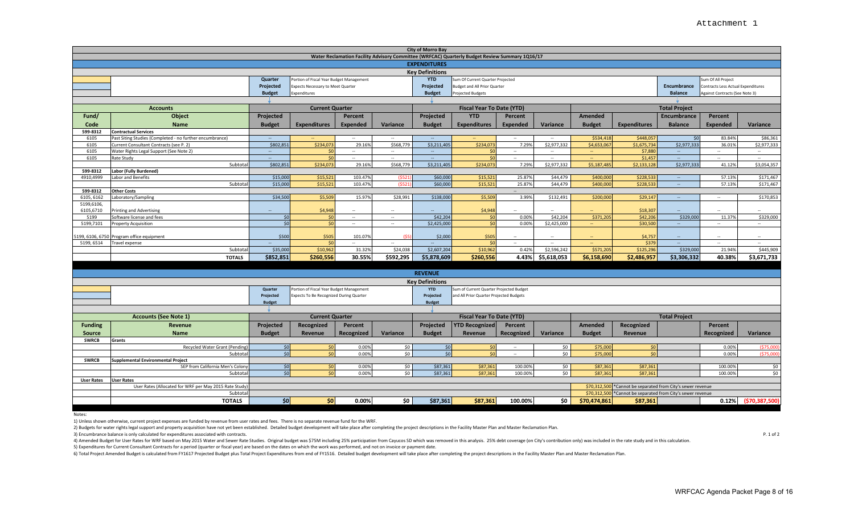|                   |                                                                                                     |                |                                          |                                    |                        | <b>City of Morro Bay</b>                         | Water Reclamation Facility Advisory Committee (WRFCAC) Quarterly Budget Review Summary 1Q16/17 |                                   |                                         |                                                             |                                                |                             |                    |                         |  |  |  |  |  |  |  |
|-------------------|-----------------------------------------------------------------------------------------------------|----------------|------------------------------------------|------------------------------------|------------------------|--------------------------------------------------|------------------------------------------------------------------------------------------------|-----------------------------------|-----------------------------------------|-------------------------------------------------------------|------------------------------------------------|-----------------------------|--------------------|-------------------------|--|--|--|--|--|--|--|
|                   |                                                                                                     |                |                                          |                                    |                        |                                                  |                                                                                                |                                   |                                         |                                                             |                                                |                             |                    |                         |  |  |  |  |  |  |  |
|                   |                                                                                                     |                |                                          |                                    |                        |                                                  |                                                                                                |                                   |                                         |                                                             |                                                |                             |                    |                         |  |  |  |  |  |  |  |
|                   |                                                                                                     |                |                                          |                                    | <b>Key Definitions</b> |                                                  |                                                                                                |                                   |                                         |                                                             |                                                |                             |                    |                         |  |  |  |  |  |  |  |
|                   |                                                                                                     | <b>Quarter</b> | Portion of Fiscal Year Budget Management |                                    |                        | <b>YTD</b><br>Projected                          | Sum Of Current Quarter Projected<br><b>Budget and All Prior Quarter</b>                        |                                   |                                         |                                                             |                                                |                             | Sum Of All Project |                         |  |  |  |  |  |  |  |
|                   |                                                                                                     | Projected      | Expects Necessary to Meet Quarter        |                                    |                        |                                                  |                                                                                                | <b>Encumbrance</b>                | Contracts Less Actual Expenditures      |                                                             |                                                |                             |                    |                         |  |  |  |  |  |  |  |
|                   |                                                                                                     | <b>Budget</b>  | Expenditures                             |                                    |                        | <b>Balance</b><br>Against Contracts (See Note 3) |                                                                                                |                                   |                                         |                                                             |                                                |                             |                    |                         |  |  |  |  |  |  |  |
|                   |                                                                                                     |                |                                          |                                    |                        |                                                  |                                                                                                |                                   |                                         |                                                             |                                                |                             |                    |                         |  |  |  |  |  |  |  |
|                   | <b>Accounts</b>                                                                                     |                | <b>Current Quarter</b>                   |                                    |                        |                                                  | <b>Fiscal Year To Date (YTD)</b>                                                               |                                   |                                         |                                                             |                                                | <b>Total Project</b>        |                    |                         |  |  |  |  |  |  |  |
| Fund/             | Object                                                                                              | Projected      |                                          | Percent                            |                        | Projected                                        | <b>YTD</b>                                                                                     | Percent                           |                                         | <b>Amended</b>                                              |                                                | Encumbrance                 | Percent            |                         |  |  |  |  |  |  |  |
| Code              | <b>Name</b>                                                                                         | <b>Budget</b>  | <b>Expenditures</b>                      | <b>Expended</b>                    | Variance               | <b>Budget</b>                                    | <b>Expenditures</b>                                                                            | <b>Expended</b>                   | Variance                                | <b>Budget</b>                                               | <b>Expenditures</b>                            | <b>Balance</b>              | <b>Expended</b>    | Variance                |  |  |  |  |  |  |  |
| 599-8312          | <b>Contractual Services</b>                                                                         |                |                                          |                                    |                        |                                                  |                                                                                                |                                   |                                         |                                                             |                                                |                             |                    |                         |  |  |  |  |  |  |  |
| 6105<br>6105      | Past Siting Studies (Completed - no further encumbrance)<br>Current Consultant Contracts (see P. 2) | \$802,851      | \$234,07                                 | $\overline{\phantom{a}}$<br>29.169 | $\sim$<br>\$568,779    | $\overline{\phantom{a}}$<br>\$3,211,405          | \$234,07                                                                                       | $\overline{\phantom{a}}$<br>7.29% | $\overline{\phantom{a}}$<br>\$2,977,332 | \$534,418<br>\$4,653,06                                     | \$448,057<br>\$1,675,734                       | $\mathsf{S}$<br>\$2,977,333 | 83.84%<br>36.01%   | \$86,361<br>\$2,977,333 |  |  |  |  |  |  |  |
| 6105              | Water Rights Legal Support (See Note 2)                                                             |                | $\mathsf{S}$                             | $\overline{\phantom{a}}$           | $\sim$                 | $\overline{\phantom{a}}$                         | <sup>SI</sup>                                                                                  | $\overline{\phantom{a}}$          | $\overline{\phantom{a}}$                |                                                             | \$7,880                                        | $\overline{\phantom{a}}$    | ۰.                 | $\sim$                  |  |  |  |  |  |  |  |
| 6105              | Rate Study                                                                                          |                | 50                                       | $\sim$                             | $\sim$                 |                                                  | \$0                                                                                            | $\overline{\phantom{a}}$          | $\sim$                                  | $\overline{\phantom{a}}$                                    | \$1,45                                         |                             | $\sim$             | $\sim$                  |  |  |  |  |  |  |  |
|                   | Subtota                                                                                             | \$802,851      | \$234,073                                | 29.16%                             | \$568,779              | \$3,211,405                                      | \$234,073                                                                                      | 7.29%                             | \$2,977,332                             | \$5,187,48                                                  | \$2,133,128                                    | \$2,977,333                 | 41.12%             | \$3,054,357             |  |  |  |  |  |  |  |
| 599-8312          | Labor (Fully Burdened)                                                                              |                |                                          |                                    |                        |                                                  |                                                                                                |                                   |                                         |                                                             |                                                |                             |                    |                         |  |  |  |  |  |  |  |
| 4910,4999         | Labor and Benefits                                                                                  | \$15,000       | \$15,521                                 | 103.47%                            | (552)                  | \$60,000                                         | \$15,521                                                                                       | 25.87%                            | \$44,479                                | \$400,000                                                   | \$228,533                                      | $\sim$                      | 57.13%             | \$171,467               |  |  |  |  |  |  |  |
|                   | Subtota                                                                                             | \$15,000       | \$15,521                                 | 103.47%                            | (552)                  | \$60,000                                         | \$15,521                                                                                       | 25.87%                            | \$44,479                                | \$400,000                                                   | \$228,533                                      | $\sim$                      | 57.13%             | \$171,467               |  |  |  |  |  |  |  |
| 599-8312          | <b>Other Costs</b>                                                                                  |                |                                          |                                    |                        |                                                  |                                                                                                |                                   |                                         |                                                             |                                                |                             |                    |                         |  |  |  |  |  |  |  |
| 6105, 6162        | Laboratory/Sampling                                                                                 | \$34,500       | \$5,509                                  | 15.97%                             | \$28,991               | \$138,000                                        | \$5,509                                                                                        | 3.99%                             | \$132,491                               | \$200,000                                                   | \$29,147                                       | $\sim$                      | $\sim$             | \$170,853               |  |  |  |  |  |  |  |
| 5199,6106,        |                                                                                                     |                |                                          |                                    |                        |                                                  |                                                                                                |                                   |                                         |                                                             |                                                |                             |                    |                         |  |  |  |  |  |  |  |
| 6105,6710         | Printing and Advertising                                                                            |                | \$4,948                                  | $\sim$                             |                        |                                                  | \$4,94                                                                                         |                                   |                                         |                                                             | \$18,307                                       |                             | $\sim$             |                         |  |  |  |  |  |  |  |
| 5199              | Software license and fees                                                                           | \$0            | $\overline{\mathsf{S}}$                  | $\sim$                             | $\sim$                 | \$42,204                                         | $\mathsf{S}$                                                                                   | 0.00%                             | \$42,204                                | \$371,205                                                   | \$42,206                                       | \$329,000                   | 11.379             | \$329,000               |  |  |  |  |  |  |  |
| 5199,7101         | <b>Property Acquisition</b>                                                                         | \$0            | $\mathsf{S}0$                            | $\sim$                             | $\sim$                 | \$2,425,000                                      | \$0                                                                                            | 0.00%                             | \$2,425,000                             |                                                             | \$30,500                                       | $\qquad \qquad -$           | $\sim$             | $\sim$                  |  |  |  |  |  |  |  |
|                   | 199, 6106, 6750 Program office equipment                                                            | \$500          | \$505                                    | 101.07%                            | <b>IS5</b>             | \$2,000                                          | \$505                                                                                          | --                                | $\sim$                                  | $\overline{\phantom{a}}$                                    | \$4,757                                        | $\overline{\phantom{a}}$    | $\sim$             | $\sim$                  |  |  |  |  |  |  |  |
| 5199, 6514        | Travel expense                                                                                      |                | Śſ                                       | $\sim$                             |                        |                                                  | <b>KI</b>                                                                                      |                                   |                                         |                                                             | \$379                                          |                             | $\sim$             | $\sim$                  |  |  |  |  |  |  |  |
|                   | Subtota                                                                                             | \$35,000       | \$10,96                                  | 31.32%                             | \$24,038               | \$2,607,204                                      | \$10,96                                                                                        | 0.42%                             | \$2,596,242                             | \$571,205                                                   | \$125,296                                      | \$329,000                   | 21.94%             | \$445,909               |  |  |  |  |  |  |  |
|                   | <b>TOTALS</b>                                                                                       | \$852,851      | \$260,556                                | 30.55%                             | \$592,295              | \$5,878,609                                      | \$260,556                                                                                      | 4.43%                             | \$5,618,053                             | \$6,158,690                                                 | \$2,486,957                                    | \$3,306,332                 | 40.38%             | \$3,671,733             |  |  |  |  |  |  |  |
|                   |                                                                                                     |                |                                          |                                    |                        |                                                  |                                                                                                |                                   |                                         |                                                             |                                                |                             |                    |                         |  |  |  |  |  |  |  |
|                   |                                                                                                     |                |                                          |                                    |                        |                                                  |                                                                                                |                                   |                                         |                                                             |                                                |                             |                    |                         |  |  |  |  |  |  |  |
|                   |                                                                                                     |                |                                          |                                    |                        | <b>REVENUE</b>                                   |                                                                                                |                                   |                                         |                                                             |                                                |                             |                    |                         |  |  |  |  |  |  |  |
|                   |                                                                                                     |                |                                          |                                    |                        | <b>Key Definitions</b>                           |                                                                                                |                                   |                                         |                                                             |                                                |                             |                    |                         |  |  |  |  |  |  |  |
|                   |                                                                                                     | Quarter        | Portion of Fiscal Year Budget Management |                                    |                        | <b>YTD</b>                                       | Sum of Current Quarter Projected Budget                                                        |                                   |                                         |                                                             |                                                |                             |                    |                         |  |  |  |  |  |  |  |
|                   |                                                                                                     | Projected      | Expects To Be Recognized During Quarter  |                                    |                        | Projected                                        | and All Prior Quarter Projected Budgets                                                        |                                   |                                         |                                                             |                                                |                             |                    |                         |  |  |  |  |  |  |  |
|                   |                                                                                                     | <b>Budget</b>  |                                          |                                    |                        | <b>Budget</b>                                    |                                                                                                |                                   |                                         |                                                             |                                                |                             |                    |                         |  |  |  |  |  |  |  |
|                   |                                                                                                     |                |                                          |                                    |                        |                                                  |                                                                                                |                                   |                                         |                                                             |                                                |                             |                    |                         |  |  |  |  |  |  |  |
|                   | <b>Accounts (See Note 1)</b>                                                                        |                | <b>Current Quarter</b>                   |                                    |                        |                                                  | <b>Fiscal Year To Date (YTD)</b>                                                               |                                   |                                         |                                                             |                                                | <b>Total Project</b>        |                    |                         |  |  |  |  |  |  |  |
| <b>Funding</b>    | Revenue                                                                                             | Projected      | Recognized                               | Percent                            |                        | Projected                                        | <b>YTD Recognized</b>                                                                          | Percent                           |                                         | Amended                                                     | Recognized                                     |                             | Percent            |                         |  |  |  |  |  |  |  |
| Source            | <b>Name</b>                                                                                         | <b>Budget</b>  | <b>Revenue</b>                           | Recognized                         | Variance               | <b>Budget</b>                                    | Revenue                                                                                        | Recognized                        | Variance                                | <b>Budget</b>                                               | Revenue                                        |                             | Recognized         | Variance                |  |  |  |  |  |  |  |
| <b>SWRCB</b>      | <b>Grants</b>                                                                                       |                |                                          |                                    |                        |                                                  |                                                                                                |                                   |                                         |                                                             |                                                |                             |                    |                         |  |  |  |  |  |  |  |
|                   | Recycled Water Grant (Pending                                                                       | \$0            | \$0                                      | 0.00%                              | \$0                    | \$0                                              | \$0                                                                                            | $\sim$                            | \$0                                     | \$75,00                                                     | \$0                                            |                             | 0.00%              | (575,00)                |  |  |  |  |  |  |  |
|                   | Subtota                                                                                             | \$0            | \$0                                      | 0.00%                              | \$0                    | \$0                                              | \$0                                                                                            | $\sim$                            | \$0                                     | \$75,000                                                    | \$0                                            |                             | 0.00%              | (575,000)               |  |  |  |  |  |  |  |
| <b>SWRCB</b>      | <b>Supplemental Environmental Project</b><br>SEP from California Men's Colony                       |                | \$0                                      |                                    | \$0                    | \$87,361                                         |                                                                                                |                                   |                                         |                                                             |                                                |                             |                    |                         |  |  |  |  |  |  |  |
|                   | Subtota                                                                                             | \$0<br>50      | \$0                                      | 0.00%<br>0.00%                     | SO <sub>2</sub>        | \$87,361                                         | \$87,361<br>\$87,36                                                                            | 100.00%<br>100.009                | \$0<br>\$0                              | \$87,361<br>\$87,361                                        | \$87,361<br>\$87,361                           |                             | 100.00%<br>100.00% | \$0<br>\$0              |  |  |  |  |  |  |  |
| <b>User Rates</b> | <b>User Rates</b>                                                                                   |                |                                          |                                    |                        |                                                  |                                                                                                |                                   |                                         |                                                             |                                                |                             |                    |                         |  |  |  |  |  |  |  |
|                   | User Rates (Allocated for WRF per May 2015 Rate Study                                               |                |                                          |                                    |                        |                                                  |                                                                                                |                                   |                                         | \$70,312,500 *Cannot be separated from City's sewer revenue |                                                |                             |                    |                         |  |  |  |  |  |  |  |
|                   | Subtota                                                                                             |                |                                          |                                    |                        |                                                  |                                                                                                |                                   |                                         | \$70,312,500                                                | *Cannot be separated from City's sewer revenue |                             |                    |                         |  |  |  |  |  |  |  |
|                   | <b>TOTALS</b>                                                                                       | 50             | \$0                                      | 0.00%                              | \$0                    | \$87,361                                         | \$87,361                                                                                       | 100.00%                           | \$0                                     | \$70,474,861                                                | \$87,361                                       |                             | 0.12%              | (\$70,387,500)          |  |  |  |  |  |  |  |
|                   |                                                                                                     |                |                                          |                                    |                        |                                                  |                                                                                                |                                   |                                         |                                                             |                                                |                             |                    |                         |  |  |  |  |  |  |  |

1) Unless shown otherwise, current project expenses are funded by revenue from user rates and fees. There is no separate revenue fund for the WRF.

2) Budgets for water rights legal support and property acquisition have not yet been established. Detailed budget development will take place after completing the project descriptions in the Facility Master Plan and Master

3) Encumbrance balance is only calculated for expenditures associated with contracts. P. 1 of 2

4) Amended Budget for User Rates for WRF based on May 2015 Water and Sewer Rate Studies. Original budget was \$75M including 25% participation from Cayucos SD which was removed in this analysis. 25% debt coverage (on City's

5) Expenditures for Current Consultant Contracts for a period (quarter or fiscal year) are based on the dates on which the work was performed, and not on invoice or payment date.

6) Total Project Amended Budget is calculated from FY1617 Projected Budget plus Total Project Expenditures from end of FY1516. Detailed budget development will take place after completing the project descriptions in the Fa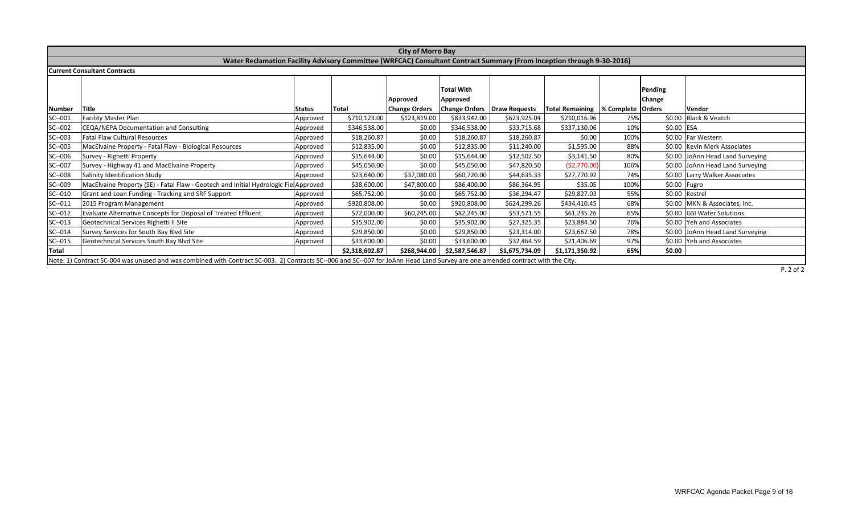|              |                                                                                                                                                                                |          |                | <b>City of Morro Bay</b> |                               |                |                                                                       |      |                   |                                  |
|--------------|--------------------------------------------------------------------------------------------------------------------------------------------------------------------------------|----------|----------------|--------------------------|-------------------------------|----------------|-----------------------------------------------------------------------|------|-------------------|----------------------------------|
|              | Water Reclamation Facility Advisory Committee (WRFCAC) Consultant Contract Summary (From Inception through 9-30-2016)                                                          |          |                |                          |                               |                |                                                                       |      |                   |                                  |
|              | <b>Current Consultant Contracts</b>                                                                                                                                            |          |                |                          |                               |                |                                                                       |      |                   |                                  |
|              |                                                                                                                                                                                |          |                | Approved                 | <b>Total With</b><br>Approved |                |                                                                       |      | Pending<br>Change |                                  |
| Number       | Title                                                                                                                                                                          | Status   | Total          | <b>Change Orders</b>     |                               |                | Change Orders   Draw Requests   Total Remaining   % Complete   Orders |      |                   | <b>Vendor</b>                    |
| $SC - 001$   | <b>Facility Master Plan</b>                                                                                                                                                    | Approved | \$710,123.00   | \$123,819.00             | \$833,942.00                  | \$623,925.04   | \$210,016.96                                                          | 75%  |                   | \$0.00 Black & Veatch            |
| $SC-002$     | CEQA/NEPA Documentation and Consulting                                                                                                                                         | Approved | \$346,538.00   | \$0.00                   | \$346,538.00                  | \$33,715.68    | \$337,130.06                                                          | 10%  | \$0.00 ESA        |                                  |
| $SC-003$     | <b>Fatal Flaw Cultural Resources</b>                                                                                                                                           | Approved | \$18,260.87    | \$0.00                   | \$18,260.87                   | \$18,260.87    | \$0.00                                                                | 100% |                   | \$0.00 Far Western               |
| SC--005      | MacElvaine Property - Fatal Flaw - Biological Resources                                                                                                                        | Approved | \$12,835.00    | \$0.00                   | \$12,835.00                   | \$11,240.00    | \$1,595.00                                                            | 88%  |                   | \$0.00 Kevin Merk Associates     |
| SC--006      | Survey - Righetti Property                                                                                                                                                     | Approved | \$15,644.00    | \$0.00                   | \$15,644.00                   | \$12,502.50    | \$3,141.50                                                            | 80%  |                   | \$0.00 JoAnn Head Land Surveying |
| SC--007      | Survey - Highway 41 and MacElvaine Property                                                                                                                                    | Approved | \$45,050.00    | \$0.00                   | \$45,050.00                   | \$47,820.50    | (52,770.00)                                                           | 106% |                   | \$0.00 JoAnn Head Land Surveying |
| SC--008      | Salinity Identification Study                                                                                                                                                  | Approved | \$23,640.00    | \$37,080.00              | \$60,720.00                   | \$44,635.33    | \$27,770.92                                                           | 74%  |                   | \$0.00 Larry Walker Associates   |
| SC--009      | MacElvaine Property (SE) - Fatal Flaw - Geotech and Initial Hydrologic Fiel Approved                                                                                           |          | \$38,600.00    | \$47,800.00              | \$86,400.00                   | \$86,364.95    | \$35.05                                                               | 100% |                   | \$0.00 Fugro                     |
| $SC-010$     | Grant and Loan Funding - Tracking and SRF Support                                                                                                                              | Approved | \$65,752.00    | \$0.00                   | \$65,752.00                   | \$36,294.47    | \$29,827.03                                                           | 55%  |                   | \$0.00 Kestrel                   |
| $SC - 011$   | 2015 Program Management                                                                                                                                                        | Approved | \$920,808.00   | \$0.00                   | \$920,808.00                  | \$624,299.26   | \$434,410.45                                                          | 68%  |                   | \$0.00 MKN & Associates, Inc.    |
| $SC - 012$   | Evaluate Alternative Concepts for Disposal of Treated Effluent                                                                                                                 | Approved | \$22,000.00    | \$60,245.00              | \$82,245.00                   | \$53,571.55    | \$61,235.26                                                           | 65%  |                   | \$0.00 GSI Water Solutions       |
| $SC - 013$   | Geotechnical Services Righetti II Site                                                                                                                                         | Approved | \$35,902.00    | \$0.00                   | \$35,902.00                   | \$27,325.35    | \$23,884.50                                                           | 76%  |                   | \$0.00 Yeh and Associates        |
| $SC-014$     | Survey Services for South Bay Blvd Site                                                                                                                                        | Approved | \$29,850.00    | \$0.00                   | \$29,850.00                   | \$23,314.00    | \$23,667.50                                                           | 78%  |                   | \$0.00 JoAnn Head Land Surveying |
| $SC-015$     | Geotechnical Services South Bay Blvd Site                                                                                                                                      | Approved | \$33,600.00    | \$0.00                   | \$33,600.00                   | \$32,464.59    | \$21,406.69                                                           | 97%  |                   | \$0.00 Yeh and Associates        |
| <b>Total</b> |                                                                                                                                                                                |          | \$2,318,602.87 | \$268,944.00             | \$2,587,546.87                | \$1,675,734.09 | \$1,171,350.92                                                        | 65%  | \$0.00            |                                  |
|              | Note: 1) Contract SC-004 was unused and was combined with Contract SC-003. 2) Contracts SC--006 and SC--007 for JoAnn Head Land Survey are one amended contract with the City. |          |                |                          |                               |                |                                                                       |      |                   |                                  |

P. 2 of 2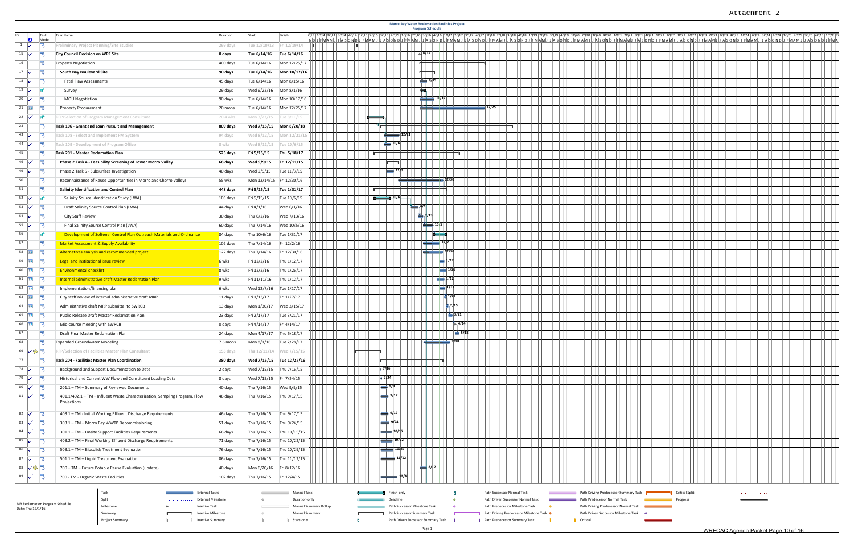|                                                       | <b>Morro Bay Water Reclamation Facilities Project</b><br><b>Program Schedule</b><br>Task<br>Task Name<br>Duration<br>Start<br>Finish<br>013 1014 2014 3014 4014 1015 2015 3015 4015 1016 2016 3016 4016 1017<br>1023 2023 3023 4023 1024 2024 3024 4024 1025 2025 3025 4025 1026<br>  1021   2021<br>3021 4021 1022 2022 3022 4022<br><b>O</b><br>Mode<br>ID J F M A M J J A S O N |                                                                            |                           |                         |                                                               |                       |  |  |                         |  |                                    |  |  |  |                                                                 |  |  |                                       |                                      |  |  |                       |                                    |   |  |  |  |
|-------------------------------------------------------|------------------------------------------------------------------------------------------------------------------------------------------------------------------------------------------------------------------------------------------------------------------------------------------------------------------------------------------------------------------------------------|----------------------------------------------------------------------------|---------------------------|-------------------------|---------------------------------------------------------------|-----------------------|--|--|-------------------------|--|------------------------------------|--|--|--|-----------------------------------------------------------------|--|--|---------------------------------------|--------------------------------------|--|--|-----------------------|------------------------------------|---|--|--|--|
|                                                       |                                                                                                                                                                                                                                                                                                                                                                                    |                                                                            |                           |                         |                                                               |                       |  |  |                         |  |                                    |  |  |  |                                                                 |  |  |                                       |                                      |  |  |                       |                                    |   |  |  |  |
| $1\sqrt{ }$                                           | Preliminary Project Planning/Site Studies                                                                                                                                                                                                                                                                                                                                          |                                                                            | 269 days                  |                         | Tue 12/10/13    Fri 12/19/14                                  |                       |  |  |                         |  |                                    |  |  |  |                                                                 |  |  |                                       |                                      |  |  |                       |                                    |   |  |  |  |
| $15\sqrt{ }$                                          | <b>City Council Decision on WRF Site</b>                                                                                                                                                                                                                                                                                                                                           |                                                                            | 0 days                    | Tue 6/14/16             | Tue 6/14/16                                                   |                       |  |  |                         |  |                                    |  |  |  |                                                                 |  |  |                                       |                                      |  |  |                       |                                    |   |  |  |  |
| ۵<br>16                                               | <b>Property Negotiation</b>                                                                                                                                                                                                                                                                                                                                                        |                                                                            | 400 days                  | Tue 6/14/16             | Mon 12/25/17                                                  |                       |  |  |                         |  |                                    |  |  |  |                                                                 |  |  |                                       |                                      |  |  |                       |                                    |   |  |  |  |
| $17 \sqrt{ }$                                         | South Bay Boulevard Site                                                                                                                                                                                                                                                                                                                                                           |                                                                            | 90 days                   | Tue 6/14/16             | Mon 10/17/16                                                  |                       |  |  |                         |  |                                    |  |  |  |                                                                 |  |  |                                       |                                      |  |  |                       |                                    |   |  |  |  |
| $18$ $\checkmark$                                     | <b>Fatal Flaw Assessments</b>                                                                                                                                                                                                                                                                                                                                                      |                                                                            | 45 days                   | Tue 6/14/16             | Mon 8/15/16                                                   |                       |  |  |                         |  |                                    |  |  |  |                                                                 |  |  |                                       |                                      |  |  |                       |                                    |   |  |  |  |
| $19 \sqrt{5}$                                         | Survey                                                                                                                                                                                                                                                                                                                                                                             |                                                                            | 29 days                   | Wed 6/22/16             | Mon 8/1/16                                                    |                       |  |  |                         |  |                                    |  |  |  |                                                                 |  |  |                                       |                                      |  |  |                       |                                    |   |  |  |  |
| E<br>$20\sqrt{ }$                                     | <b>MOU Negotiation</b>                                                                                                                                                                                                                                                                                                                                                             |                                                                            | 90 days                   | Tue 6/14/16             | Mon 10/17/16                                                  |                       |  |  |                         |  |                                    |  |  |  |                                                                 |  |  |                                       |                                      |  |  |                       |                                    |   |  |  |  |
| $21$  <br>-9                                          | <b>Property Procurement</b>                                                                                                                                                                                                                                                                                                                                                        |                                                                            | 20 mons                   | Tue 6/14/16             | Mon 12/25/17                                                  |                       |  |  |                         |  |                                    |  |  |  |                                                                 |  |  |                                       |                                      |  |  |                       |                                    |   |  |  |  |
| $22\sqrt{ }$                                          |                                                                                                                                                                                                                                                                                                                                                                                    | RFP/Selection of Program Management Consultant                             | 20.4 wks                  | Mon 3/23/15             | Tue 8/11/15                                                   |                       |  |  |                         |  |                                    |  |  |  |                                                                 |  |  |                                       |                                      |  |  |                       |                                    |   |  |  |  |
| 23                                                    |                                                                                                                                                                                                                                                                                                                                                                                    | Task 106 - Grant and Loan Pursuit and Management                           | 809 days                  | Wed 7/15/15             | Mon 8/20/18                                                   |                       |  |  |                         |  |                                    |  |  |  |                                                                 |  |  |                                       |                                      |  |  |                       |                                    |   |  |  |  |
| $43 \sqrt{ }$                                         |                                                                                                                                                                                                                                                                                                                                                                                    | Task 108 - Select and Implement PM System                                  | 94 days                   |                         | Wed 8/12/15 Mon 12/21/1                                       |                       |  |  |                         |  |                                    |  |  |  |                                                                 |  |  |                                       |                                      |  |  |                       |                                    |   |  |  |  |
| $44\sqrt{ }$                                          | Task 109 - Development of Program Office                                                                                                                                                                                                                                                                                                                                           |                                                                            | 8 wks                     | Wed 8/12/15             | Tue 10/6/15                                                   |                       |  |  |                         |  |                                    |  |  |  |                                                                 |  |  |                                       |                                      |  |  |                       |                                    |   |  |  |  |
| 45                                                    | Task 201 - Master Reclamation Plan                                                                                                                                                                                                                                                                                                                                                 |                                                                            | 525 days                  | Fri 5/15/15             | Thu 5/18/17                                                   |                       |  |  |                         |  |                                    |  |  |  |                                                                 |  |  |                                       |                                      |  |  |                       |                                    |   |  |  |  |
| $46\sqrt{}$<br>- 7                                    |                                                                                                                                                                                                                                                                                                                                                                                    | Phase 2 Task 4 - Feasibility Screening of Lower Morro Valley               | 68 days                   | Wed 9/9/15              | Fri 12/11/15                                                  |                       |  |  |                         |  |                                    |  |  |  |                                                                 |  |  |                                       |                                      |  |  |                       |                                    |   |  |  |  |
| -9<br>$49\sqrt{ }$                                    |                                                                                                                                                                                                                                                                                                                                                                                    | Phase 2 Task 5 - Subsurface Investigation                                  | 40 days                   | Wed 9/9/15              | Tue 11/3/15                                                   |                       |  |  |                         |  |                                    |  |  |  |                                                                 |  |  |                                       |                                      |  |  |                       |                                    |   |  |  |  |
| F<br>50                                               |                                                                                                                                                                                                                                                                                                                                                                                    | Reconnaissance of Reuse Opportunities in Morro and Chorro Valleys          | 55 wks                    |                         | Mon 12/14/15 Fri 12/30/16                                     |                       |  |  |                         |  |                                    |  |  |  |                                                                 |  |  |                                       |                                      |  |  |                       |                                    |   |  |  |  |
| 51                                                    | Salinity Identification and Control Plan                                                                                                                                                                                                                                                                                                                                           |                                                                            | 448 days                  | Fri 5/15/15             | Tue 1/31/17                                                   |                       |  |  |                         |  |                                    |  |  |  |                                                                 |  |  |                                       |                                      |  |  |                       |                                    |   |  |  |  |
| $52 \sqrt{ }$                                         |                                                                                                                                                                                                                                                                                                                                                                                    | Salinity Source Identification Study (LWA)                                 | 103 days                  | Fri 5/15/15             | Tue 10/6/15                                                   |                       |  |  |                         |  |                                    |  |  |  |                                                                 |  |  |                                       |                                      |  |  |                       |                                    |   |  |  |  |
| $53\sqrt{ }$                                          |                                                                                                                                                                                                                                                                                                                                                                                    | Draft Salinity Source Control Plan (LWA)                                   | 44 days                   | Fri 4/1/16              | Wed 6/1/16                                                    |                       |  |  |                         |  |                                    |  |  |  |                                                                 |  |  |                                       |                                      |  |  |                       |                                    |   |  |  |  |
| $54\sqrt{ }$                                          | City Staff Review                                                                                                                                                                                                                                                                                                                                                                  |                                                                            | 30 days                   | Thu 6/2/16              | Wed 7/13/16                                                   |                       |  |  |                         |  |                                    |  |  |  |                                                                 |  |  |                                       |                                      |  |  |                       |                                    |   |  |  |  |
| - F<br>$55\sqrt{ }$                                   |                                                                                                                                                                                                                                                                                                                                                                                    | Final Salinity Source Control Plan (LWA)                                   | 60 days                   | Thu 7/14/16             | Wed 10/5/16                                                   |                       |  |  |                         |  |                                    |  |  |  |                                                                 |  |  |                                       |                                      |  |  |                       |                                    |   |  |  |  |
| 56                                                    |                                                                                                                                                                                                                                                                                                                                                                                    | Development of Softener Control Plan Outreach Materials and Ordinance      | 84 days                   | Thu 10/6/16             | Tue 1/31/17                                                   |                       |  |  |                         |  |                                    |  |  |  |                                                                 |  |  |                                       |                                      |  |  |                       |                                    |   |  |  |  |
| 57                                                    |                                                                                                                                                                                                                                                                                                                                                                                    | <b>Market Assessment &amp; Supply Availability</b>                         | 102 days                  | Thu 7/14/16             | Fri 12/2/16                                                   |                       |  |  |                         |  |                                    |  |  |  |                                                                 |  |  |                                       |                                      |  |  |                       |                                    |   |  |  |  |
| 58 $\frac{1}{2}$                                      |                                                                                                                                                                                                                                                                                                                                                                                    | Alternatives analysis and recommended project                              | $122$ days                | Thu 7/14/16             | Fri 12/30/16                                                  |                       |  |  |                         |  |                                    |  |  |  |                                                                 |  |  |                                       |                                      |  |  |                       |                                    |   |  |  |  |
| 59 $\frac{1}{2}$                                      | Legal and institutional issue review                                                                                                                                                                                                                                                                                                                                               |                                                                            | 6 wks                     | Fri 12/2/16             | Thu 1/12/17                                                   |                       |  |  |                         |  |                                    |  |  |  |                                                                 |  |  |                                       |                                      |  |  |                       |                                    |   |  |  |  |
| 60   国 号                                              | <b>Environmental checklist</b>                                                                                                                                                                                                                                                                                                                                                     |                                                                            | 8 wks                     | Fri 12/2/16             | Thu 1/26/17                                                   |                       |  |  |                         |  |                                    |  |  |  |                                                                 |  |  |                                       |                                      |  |  |                       |                                    |   |  |  |  |
| $61$ $\Box$                                           |                                                                                                                                                                                                                                                                                                                                                                                    | Internal administrative draft Master Reclamation Plan                      | 9 wks                     | Fri 11/11/16            | Thu 1/12/17                                                   |                       |  |  |                         |  |                                    |  |  |  |                                                                 |  |  |                                       |                                      |  |  |                       |                                    |   |  |  |  |
| $62$ $\frac{1}{2}$<br>-9                              | Implementation/financing plan                                                                                                                                                                                                                                                                                                                                                      |                                                                            | 6 wks                     | Wed 12/7/16             | Tue 1/17/17                                                   |                       |  |  |                         |  |                                    |  |  |  |                                                                 |  |  |                                       |                                      |  |  |                       |                                    |   |  |  |  |
| - 9<br>63 $\overline{      }$                         |                                                                                                                                                                                                                                                                                                                                                                                    | City staff review of internal administrative draft MRP                     | 11 days                   | Fri 1/13/17             | Fri 1/27/17                                                   |                       |  |  |                         |  |                                    |  |  |  |                                                                 |  |  |                                       |                                      |  |  |                       |                                    |   |  |  |  |
| $64$ HH                                               |                                                                                                                                                                                                                                                                                                                                                                                    | Administrative draft MRP submittal to SWRCB                                | 13 days                   | Mon 1/30/17             | Wed 2/15/17                                                   |                       |  |  |                         |  |                                    |  |  |  |                                                                 |  |  |                                       |                                      |  |  |                       |                                    |   |  |  |  |
| 65                                                    |                                                                                                                                                                                                                                                                                                                                                                                    | Public Release Draft Master Reclamation Plan                               | 23 days                   | Fri 2/17/17             | Tue 3/21/17                                                   |                       |  |  |                         |  |                                    |  |  |  |                                                                 |  |  |                                       |                                      |  |  |                       |                                    |   |  |  |  |
| 66   HH                                               | Mid-course meeting with SWRCB                                                                                                                                                                                                                                                                                                                                                      |                                                                            | 0 days                    | Fri 4/14/17             | Fri 4/14/17                                                   |                       |  |  |                         |  |                                    |  |  |  |                                                                 |  |  |                                       |                                      |  |  |                       |                                    |   |  |  |  |
| $\equiv$<br>$\sqrt{27}$                               | Draft Final Master Reclamation Plan                                                                                                                                                                                                                                                                                                                                                |                                                                            | 24 days                   | Mon 4/17/17 Thu 5/18/17 |                                                               |                       |  |  |                         |  |                                    |  |  |  |                                                                 |  |  |                                       |                                      |  |  |                       |                                    |   |  |  |  |
| F<br>68                                               | <b>Expanded Groundwater Modeling</b>                                                                                                                                                                                                                                                                                                                                               |                                                                            | 7.6 mons                  |                         | Mon 8/1/16 Tue 2/28/17                                        |                       |  |  |                         |  |                                    |  |  |  |                                                                 |  |  |                                       |                                      |  |  |                       |                                    |   |  |  |  |
| $69$ $\checkmark$ $\circledcirc$ $\overset{1}{\circ}$ |                                                                                                                                                                                                                                                                                                                                                                                    | RFP/Selection of Facilities Master Plan Consultant                         | 155 days                  |                         | Thu 12/11/14 Wed 7/15/15                                      |                       |  |  |                         |  |                                    |  |  |  |                                                                 |  |  |                                       |                                      |  |  |                       |                                    |   |  |  |  |
| 77                                                    |                                                                                                                                                                                                                                                                                                                                                                                    | Task 204 - Facilities Master Plan Coordination                             | 380 days                  |                         | Wed 7/15/15 Tue 12/27/16                                      |                       |  |  |                         |  |                                    |  |  |  |                                                                 |  |  |                                       |                                      |  |  |                       |                                    |   |  |  |  |
| 78 $\sqrt{ }$                                         |                                                                                                                                                                                                                                                                                                                                                                                    | Background and Support Documentation to Date                               | 2 days                    |                         | Wed 7/15/15 Thu 7/16/15                                       |                       |  |  |                         |  |                                    |  |  |  |                                                                 |  |  |                                       |                                      |  |  |                       |                                    |   |  |  |  |
| $79$ $\checkmark$                                     |                                                                                                                                                                                                                                                                                                                                                                                    | Historical and Current WW Flow and Constituent Loading Data                | 8 days                    | Wed 7/15/15 Fri 7/24/15 |                                                               |                       |  |  |                         |  |                                    |  |  |  |                                                                 |  |  |                                       |                                      |  |  |                       |                                    |   |  |  |  |
| 80 $\sqrt{ }$                                         |                                                                                                                                                                                                                                                                                                                                                                                    | 201.1 - TM - Summary of Reviewed Documents                                 | 40 days                   | Thu 7/16/15             | Wed 9/9/15                                                    |                       |  |  |                         |  |                                    |  |  |  |                                                                 |  |  |                                       |                                      |  |  |                       |                                    |   |  |  |  |
| $81 \checkmark$ 2                                     |                                                                                                                                                                                                                                                                                                                                                                                    | 401.1/402.1 - TM - Influent Waste Characterization, Sampling Program, Flow | 46 days                   |                         | Thu 7/16/15 Thu 9/17/15                                       |                       |  |  |                         |  |                                    |  |  |  |                                                                 |  |  |                                       |                                      |  |  |                       |                                    |   |  |  |  |
|                                                       | Projections                                                                                                                                                                                                                                                                                                                                                                        |                                                                            |                           |                         |                                                               |                       |  |  |                         |  |                                    |  |  |  |                                                                 |  |  |                                       |                                      |  |  |                       |                                    |   |  |  |  |
| - 7<br>82 $\sqrt{ }$                                  |                                                                                                                                                                                                                                                                                                                                                                                    | 403.1 - TM - Initial Working Effluent Discharge Requirements               | 46 days                   | Thu 7/16/15             | Thu 9/17/15                                                   |                       |  |  |                         |  |                                    |  |  |  |                                                                 |  |  |                                       |                                      |  |  |                       |                                    |   |  |  |  |
| 83 $\sqrt{ }$                                         |                                                                                                                                                                                                                                                                                                                                                                                    | 303.1 - TM - Morro Bay WWTP Decommissioning                                | 51 days                   | Thu 7/16/15             | Thu 9/24/15                                                   |                       |  |  |                         |  |                                    |  |  |  |                                                                 |  |  |                                       |                                      |  |  |                       |                                    |   |  |  |  |
| $84 \sqrt{ }$                                         |                                                                                                                                                                                                                                                                                                                                                                                    | 301.1 - TM - Onsite Support Facilities Requirements                        | 66 days                   | Thu 7/16/15             | Thu 10/15/15                                                  |                       |  |  |                         |  |                                    |  |  |  |                                                                 |  |  |                                       |                                      |  |  |                       |                                    |   |  |  |  |
| 85 $\checkmark$                                       |                                                                                                                                                                                                                                                                                                                                                                                    | 403.2 - TM - Final Working Effluent Discharge Requirements                 | 71 days                   | Thu 7/16/15             | Thu 10/22/15                                                  |                       |  |  |                         |  |                                    |  |  |  |                                                                 |  |  |                                       |                                      |  |  |                       |                                    |   |  |  |  |
| $86 \sqrt{ }$                                         |                                                                                                                                                                                                                                                                                                                                                                                    | 503.1 - TM - Biosolids Treatment Evaluation                                | 76 days                   | Thu 7/16/15             | Thu 10/29/15                                                  |                       |  |  |                         |  |                                    |  |  |  |                                                                 |  |  |                                       |                                      |  |  |                       |                                    |   |  |  |  |
| $87 \checkmark$ 2                                     |                                                                                                                                                                                                                                                                                                                                                                                    | 501.1 - TM - Liquid Treatment Evaluation                                   | 86 days                   | Thu 7/16/15             | Thu 11/12/15                                                  |                       |  |  |                         |  |                                    |  |  |  |                                                                 |  |  |                                       |                                      |  |  |                       |                                    |   |  |  |  |
| 88 √ 18 号                                             |                                                                                                                                                                                                                                                                                                                                                                                    | 700 - TM - Future Potable Reuse Evaluation (update)                        | 40 days                   | Mon 6/20/16 Fri 8/12/16 |                                                               |                       |  |  |                         |  |                                    |  |  |  |                                                                 |  |  |                                       |                                      |  |  |                       |                                    |   |  |  |  |
| $89$ $\checkmark$ $\overline{5}$                      | 700 - TM - Organic Waste Facilities                                                                                                                                                                                                                                                                                                                                                |                                                                            | 102 days                  | Thu 7/16/15 Fri 12/4/15 |                                                               |                       |  |  |                         |  |                                    |  |  |  |                                                                 |  |  |                                       |                                      |  |  |                       |                                    |   |  |  |  |
|                                                       |                                                                                                                                                                                                                                                                                                                                                                                    |                                                                            |                           |                         |                                                               |                       |  |  |                         |  |                                    |  |  |  |                                                                 |  |  |                                       |                                      |  |  |                       |                                    |   |  |  |  |
|                                                       |                                                                                                                                                                                                                                                                                                                                                                                    | Task<br>External Tasks<br>Split                                            | <b>External Milestone</b> | $\Leftrightarrow$       | Manual Task<br>the control of the control of<br>Duration-only |                       |  |  | Finish-only<br>Deadline |  |                                    |  |  |  | Path Successor Normal Task<br>Path Driven Successor Normal Task |  |  | Path Driving Predecessor Summary Task | Path Predecessor Normal Task         |  |  | <b>Critical Split</b> |                                    | . |  |  |  |
| MB Reclamation Program Schedule<br>Date: Thu 12/1/16  |                                                                                                                                                                                                                                                                                                                                                                                    | .<br>Milestone<br>Inactive Task                                            |                           |                         |                                                               | Manual Summary Rollup |  |  |                         |  | Path Successor Milestone Task      |  |  |  | Path Predecessor Milestone Task                                 |  |  |                                       | Path Driving Predecessor Normal Task |  |  | Progress              |                                    |   |  |  |  |
|                                                       |                                                                                                                                                                                                                                                                                                                                                                                    | Summary                                                                    | Inactive Milestone        |                         | Manual Summary                                                |                       |  |  |                         |  | Path Successor Summary Task        |  |  |  | Path Driving Predecessor Milestone Task ♦                       |  |  |                                       | Path Driven Successor Milestone Task |  |  |                       |                                    |   |  |  |  |
|                                                       |                                                                                                                                                                                                                                                                                                                                                                                    | Project Summary                                                            | Inactive Summary          | $\overline{a}$          | Start-only                                                    |                       |  |  |                         |  | Path Driven Successor Summary Task |  |  |  | Path Predecessor Summary Task                                   |  |  | Critical                              |                                      |  |  |                       |                                    |   |  |  |  |
|                                                       |                                                                                                                                                                                                                                                                                                                                                                                    |                                                                            |                           |                         |                                                               |                       |  |  |                         |  | Page 1                             |  |  |  |                                                                 |  |  |                                       |                                      |  |  |                       | WDECAC Agondo Decket Bags 10 of 16 |   |  |  |  |



WRFCAC Agenda Packet Page 10 of 16